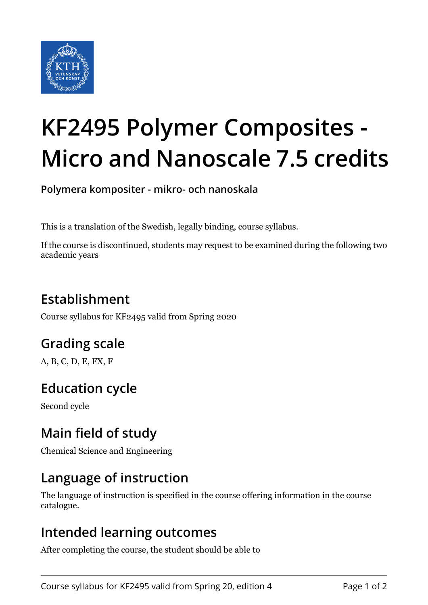

# **KF2495 Polymer Composites - Micro and Nanoscale 7.5 credits**

**Polymera kompositer - mikro- och nanoskala**

This is a translation of the Swedish, legally binding, course syllabus.

If the course is discontinued, students may request to be examined during the following two academic years

## **Establishment**

Course syllabus for KF2495 valid from Spring 2020

## **Grading scale**

A, B, C, D, E, FX, F

## **Education cycle**

Second cycle

## **Main field of study**

Chemical Science and Engineering

### **Language of instruction**

The language of instruction is specified in the course offering information in the course catalogue.

#### **Intended learning outcomes**

After completing the course, the student should be able to